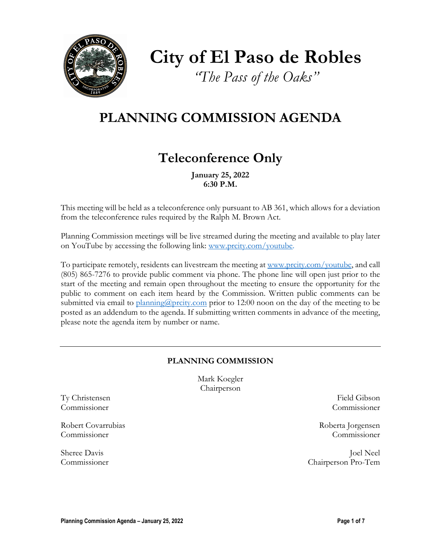

**City of El Paso de Robles**

*"The Pass of the Oaks"*

# **PLANNING COMMISSION AGENDA**

# **Teleconference Only**

**January 25, 2022 6:30 P.M.**

This meeting will be held as a teleconference only pursuant to AB 361, which allows for a deviation from the teleconference rules required by the Ralph M. Brown Act.

Planning Commission meetings will be live streamed during the meeting and available to play later on YouTube by accessing the following link: [www.prcity.com/youtube.](http://www.prcity.com/youtube)

To participate remotely, residents can livestream the meeting at [www.prcity.com/youtube,](http://www.prcity.com/youtube) and call (805) 865-7276 to provide public comment via phone. The phone line will open just prior to the start of the meeting and remain open throughout the meeting to ensure the opportunity for the public to comment on each item heard by the Commission. Written public comments can be submitted via email to [planning@prcity.com](mailto:planning@prcity.com) prior to 12:00 noon on the day of the meeting to be posted as an addendum to the agenda. If submitting written comments in advance of the meeting, please note the agenda item by number or name.

# **PLANNING COMMISSION**

Mark Koegler Chairperson

Ty Christensen Field Gibson Commissioner Commissioner

Robert Covarrubias Roberta Jorgensen Commissioner Commissioner

Sheree Davis Joel Neel Commissioner Chairperson Pro-Tem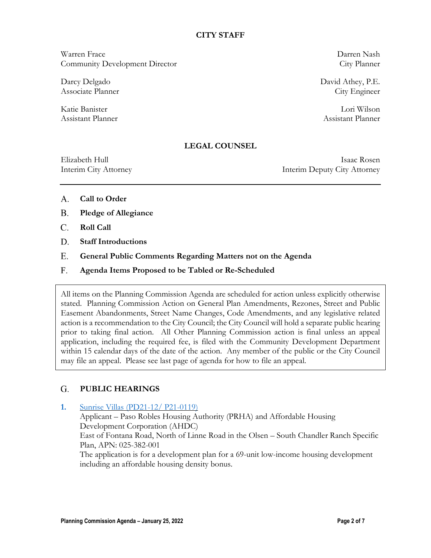### **CITY STAFF**

Warren Frace Darren Nash Community Development Director City Planner

Assistant Planner Assistant Planner

Darcy Delgado David Athey, P.E. Associate Planner City Engineer

Katie Banister Lori Wilson

# **LEGAL COUNSEL**

Elizabeth Hull Isaac Rosen Interim City Attorney Interim Deputy City Attorney

- **Call to Order** A.
- **Pledge of Allegiance** B.
- **Roll Call**  C.
- **Staff Introductions** D.
- **General Public Comments Regarding Matters not on the Agenda** E.
- **Agenda Items Proposed to be Tabled or Re-Scheduled**  F.

All items on the Planning Commission Agenda are scheduled for action unless explicitly otherwise stated. Planning Commission Action on General Plan Amendments, Rezones, Street and Public Easement Abandonments, Street Name Changes, Code Amendments, and any legislative related action is a recommendation to the City Council; the City Council will hold a separate public hearing prior to taking final action. All Other Planning Commission action is final unless an appeal application, including the required fee, is filed with the Community Development Department within 15 calendar days of the date of the action. Any member of the public or the City Council may file an appeal. Please see last page of agenda for how to file an appeal.

#### **PUBLIC HEARINGS**  G.

## **1.** [Sunrise Villas](https://www.prcity.com/DocumentCenter/View/33063/January-24-2022-Planning-Commission-Item-1-PDF) (PD21-12/ P21-0119)

Applicant – Paso Robles Housing Authority (PRHA) and Affordable Housing Development Corporation (AHDC) East of Fontana Road, North of Linne Road in the Olsen – South Chandler Ranch Specific Plan, APN: 025-382-001 The application is for a development plan for a 69-unit low-income housing development including an affordable housing density bonus.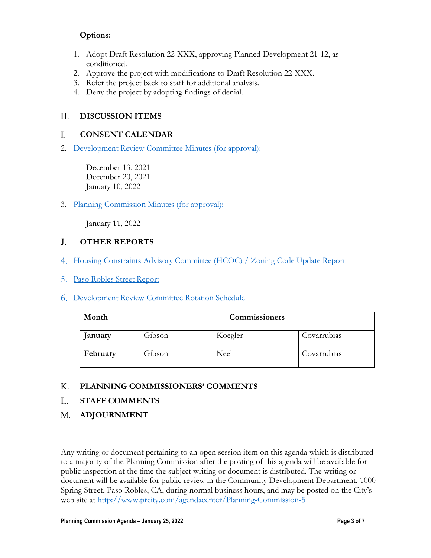# **Options:**

- 1. Adopt Draft Resolution 22-XXX, approving Planned Development 21-12, as conditioned.
- 2. Approve the project with modifications to Draft Resolution 22-XXX.
- 3. Refer the project back to staff for additional analysis.
- 4. Deny the project by adopting findings of denial.

#### **DISCUSSION ITEMS H.**

#### **CONSENT CALENDAR** I.

2. Development Review [Committee Minutes \(for approval\):](https://www.prcity.com/DocumentCenter/View/33064/January-24-2022-Planning-Commission-Item-2-PDF)

December 13, 2021 December 20, 2021 January 10, 2022

3. [Planning Commission Minutes \(for approval\):](https://www.prcity.com/DocumentCenter/View/33065/January-24-2022-Planning-Commission-Item-3-PDF)

January 11, 2022

#### **OTHER REPORTS** J.

- 4. [Housing Constraints Advisory Committee](https://www.prcity.com/DocumentCenter/View/33066/January-24-2022-Planning-Commission-Item-4-PDF) (HCOC) / Zoning Code Update Report
- 5. [Paso Robles Street Report](https://www.prcity.com/DocumentCenter/View/33067/January-24-2022-Planning-Commission-Item-5-PDF)
- 6. [Development Review](https://www.prcity.com/DocumentCenter/View/33068/January-24-2022-Planning-Commission-Item-6-PDF) Committee Rotation Schedule

| Month    | Commissioners |         |             |
|----------|---------------|---------|-------------|
| January  | Gibson        | Koegler | Covarrubias |
| February | Gibson        | Neel    | Covarrubias |

#### **PLANNING COMMISSIONERS' COMMENTS K.**

- **STAFF COMMENTS** L.
- **ADJOURNMENT M.**

Any writing or document pertaining to an open session item on this agenda which is distributed to a majority of the Planning Commission after the posting of this agenda will be available for public inspection at the time the subject writing or document is distributed. The writing or document will be available for public review in the Community Development Department, 1000 Spring Street, Paso Robles, CA, during normal business hours, and may be posted on the City's web site at <http://www.prcity.com/agendacenter/Planning-Commission-5>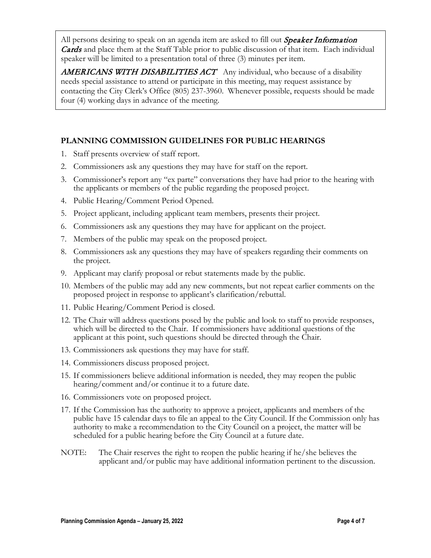All persons desiring to speak on an agenda item are asked to fill out *Speaker Information* **Cards** and place them at the Staff Table prior to public discussion of that item. Each individual speaker will be limited to a presentation total of three (3) minutes per item.

**AMERICANS WITH DISABILITIES ACT** Any individual, who because of a disability needs special assistance to attend or participate in this meeting, may request assistance by contacting the City Clerk's Office (805) 237-3960. Whenever possible, requests should be made four (4) working days in advance of the meeting.

# **PLANNING COMMISSION GUIDELINES FOR PUBLIC HEARINGS**

- 1. Staff presents overview of staff report.
- 2. Commissioners ask any questions they may have for staff on the report.
- 3. Commissioner's report any "ex parte" conversations they have had prior to the hearing with the applicants or members of the public regarding the proposed project.
- 4. Public Hearing/Comment Period Opened.
- 5. Project applicant, including applicant team members, presents their project.
- 6. Commissioners ask any questions they may have for applicant on the project.
- 7. Members of the public may speak on the proposed project.
- 8. Commissioners ask any questions they may have of speakers regarding their comments on the project.
- 9. Applicant may clarify proposal or rebut statements made by the public.
- 10. Members of the public may add any new comments, but not repeat earlier comments on the proposed project in response to applicant's clarification/rebuttal.
- 11. Public Hearing/Comment Period is closed.
- 12. The Chair will address questions posed by the public and look to staff to provide responses, which will be directed to the Chair. If commissioners have additional questions of the applicant at this point, such questions should be directed through the Chair.
- 13. Commissioners ask questions they may have for staff.
- 14. Commissioners discuss proposed project.
- 15. If commissioners believe additional information is needed, they may reopen the public hearing/comment and/or continue it to a future date.
- 16. Commissioners vote on proposed project.
- 17. If the Commission has the authority to approve a project, applicants and members of the public have 15 calendar days to file an appeal to the City Council. If the Commission only has authority to make a recommendation to the City Council on a project, the matter will be scheduled for a public hearing before the City Council at a future date.
- NOTE: The Chair reserves the right to reopen the public hearing if he/she believes the applicant and/or public may have additional information pertinent to the discussion.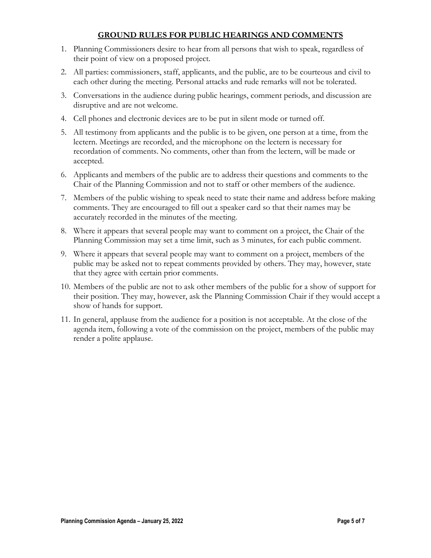# **GROUND RULES FOR PUBLIC HEARINGS AND COMMENTS**

- 1. Planning Commissioners desire to hear from all persons that wish to speak, regardless of their point of view on a proposed project.
- 2. All parties: commissioners, staff, applicants, and the public, are to be courteous and civil to each other during the meeting. Personal attacks and rude remarks will not be tolerated.
- 3. Conversations in the audience during public hearings, comment periods, and discussion are disruptive and are not welcome.
- 4. Cell phones and electronic devices are to be put in silent mode or turned off.
- 5. All testimony from applicants and the public is to be given, one person at a time, from the lectern. Meetings are recorded, and the microphone on the lectern is necessary for recordation of comments. No comments, other than from the lectern, will be made or accepted.
- 6. Applicants and members of the public are to address their questions and comments to the Chair of the Planning Commission and not to staff or other members of the audience.
- 7. Members of the public wishing to speak need to state their name and address before making comments. They are encouraged to fill out a speaker card so that their names may be accurately recorded in the minutes of the meeting.
- 8. Where it appears that several people may want to comment on a project, the Chair of the Planning Commission may set a time limit, such as 3 minutes, for each public comment.
- 9. Where it appears that several people may want to comment on a project, members of the public may be asked not to repeat comments provided by others. They may, however, state that they agree with certain prior comments.
- 10. Members of the public are not to ask other members of the public for a show of support for their position. They may, however, ask the Planning Commission Chair if they would accept a show of hands for support.
- 11. In general, applause from the audience for a position is not acceptable. At the close of the agenda item, following a vote of the commission on the project, members of the public may render a polite applause.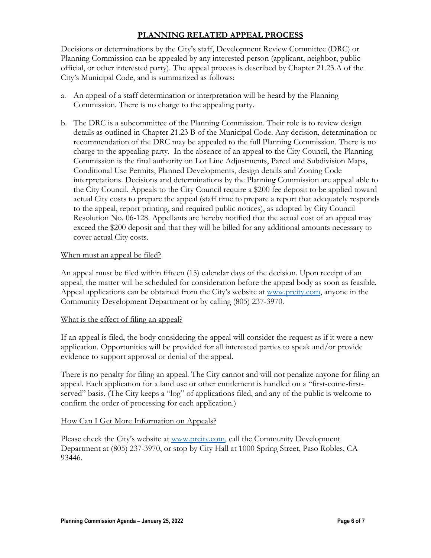# **PLANNING RELATED APPEAL PROCESS**

Decisions or determinations by the City's staff, Development Review Committee (DRC) or Planning Commission can be appealed by any interested person (applicant, neighbor, public official, or other interested party). The appeal process is described by Chapter 21.23.A of the City's Municipal Code, and is summarized as follows:

- a. An appeal of a staff determination or interpretation will be heard by the Planning Commission. There is no charge to the appealing party.
- b. The DRC is a subcommittee of the Planning Commission. Their role is to review design details as outlined in Chapter 21.23 B of the Municipal Code. Any decision, determination or recommendation of the DRC may be appealed to the full Planning Commission. There is no charge to the appealing party. In the absence of an appeal to the City Council, the Planning Commission is the final authority on Lot Line Adjustments, Parcel and Subdivision Maps, Conditional Use Permits, Planned Developments, design details and Zoning Code interpretations. Decisions and determinations by the Planning Commission are appeal able to the City Council. Appeals to the City Council require a \$200 fee deposit to be applied toward actual City costs to prepare the appeal (staff time to prepare a report that adequately responds to the appeal, report printing, and required public notices), as adopted by City Council Resolution No. 06-128. Appellants are hereby notified that the actual cost of an appeal may exceed the \$200 deposit and that they will be billed for any additional amounts necessary to cover actual City costs.

### When must an appeal be filed?

An appeal must be filed within fifteen (15) calendar days of the decision. Upon receipt of an appeal, the matter will be scheduled for consideration before the appeal body as soon as feasible. Appeal applications can be obtained from the City's website at [www.prcity.com,](http://www.prcity.com/) anyone in the Community Development Department or by calling (805) 237-3970.

### What is the effect of filing an appeal?

If an appeal is filed, the body considering the appeal will consider the request as if it were a new application. Opportunities will be provided for all interested parties to speak and/or provide evidence to support approval or denial of the appeal.

There is no penalty for filing an appeal. The City cannot and will not penalize anyone for filing an appeal. Each application for a land use or other entitlement is handled on a "first-come-firstserved" basis. (The City keeps a "log" of applications filed, and any of the public is welcome to confirm the order of processing for each application.)

### How Can I Get More Information on Appeals?

Please check the City's website at [www.prcity.com,](http://www.prcity.com/) call the Community Development Department at (805) 237-3970, or stop by City Hall at 1000 Spring Street, Paso Robles, CA 93446.